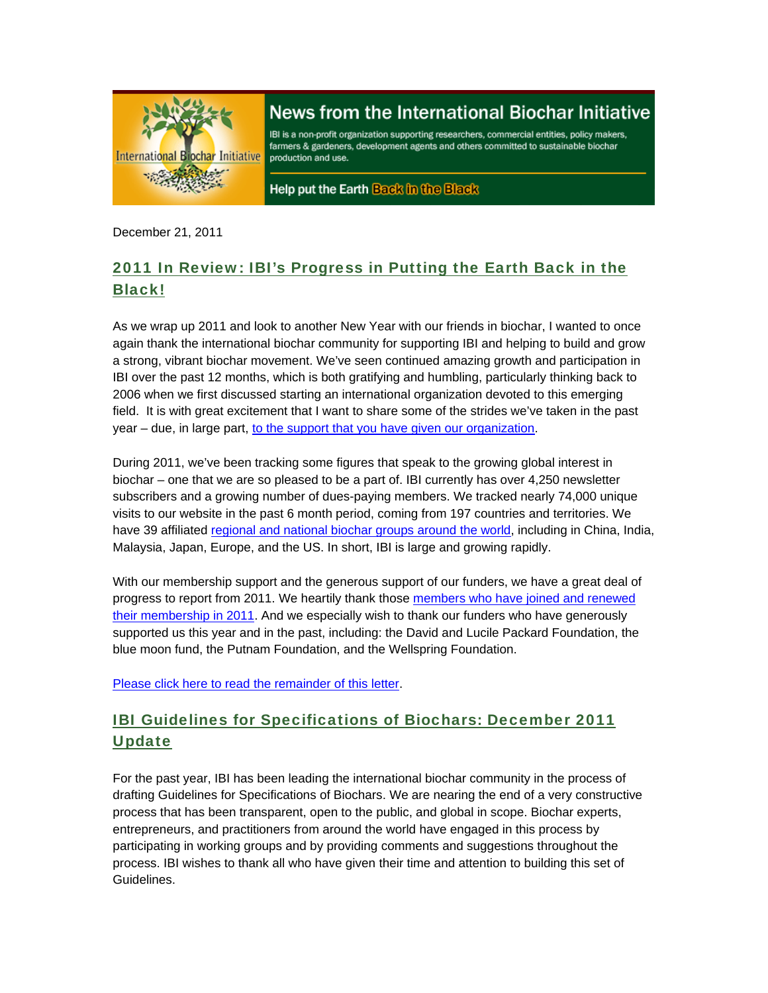

# News from the International Biochar Initiative

IBI is a non-profit organization supporting researchers, commercial entities, policy makers, farmers & gardeners, development agents and others committed to sustainable biochar production and use.

Help put the Earth Back in the Black

December 21, 2011

## 2011 In Review: IBI's Progress in Putting the Earth Back in the Black!

As we wrap up 2011 and look to another New Year with our friends in biochar, I wanted to once again thank the international biochar community for supporting IBI and helping to build and grow a strong, vibrant biochar movement. We've seen continued amazing growth and participation in IBI over the past 12 months, which is both gratifying and humbling, particularly thinking back to 2006 when we first discussed starting an international organization devoted to this emerging field. It is with great excitement that I want to share some of the strides we've taken in the past year – due, in large part, to the support that you have given our organization.

During 2011, we've been tracking some figures that speak to the growing global interest in biochar – one that we are so pleased to be a part of. IBI currently has over 4,250 newsletter subscribers and a growing number of dues-paying members. We tracked nearly 74,000 unique visits to our website in the past 6 month period, coming from 197 countries and territories. We have 39 affiliated regional and national biochar groups around the world, including in China, India, Malaysia, Japan, Europe, and the US. In short, IBI is large and growing rapidly.

With our membership support and the generous support of our funders, we have a great deal of progress to report from 2011. We heartily thank those members who have joined and renewed their membership in 2011. And we especially wish to thank our funders who have generously supported us this year and in the past, including: the David and Lucile Packard Foundation, the blue moon fund, the Putnam Foundation, and the Wellspring Foundation.

Please click here to read the remainder of this letter.

## IBI Guidelines for Specifications of Biochars: December 2011 **Update**

For the past year, IBI has been leading the international biochar community in the process of drafting Guidelines for Specifications of Biochars. We are nearing the end of a very constructive process that has been transparent, open to the public, and global in scope. Biochar experts, entrepreneurs, and practitioners from around the world have engaged in this process by participating in working groups and by providing comments and suggestions throughout the process. IBI wishes to thank all who have given their time and attention to building this set of Guidelines.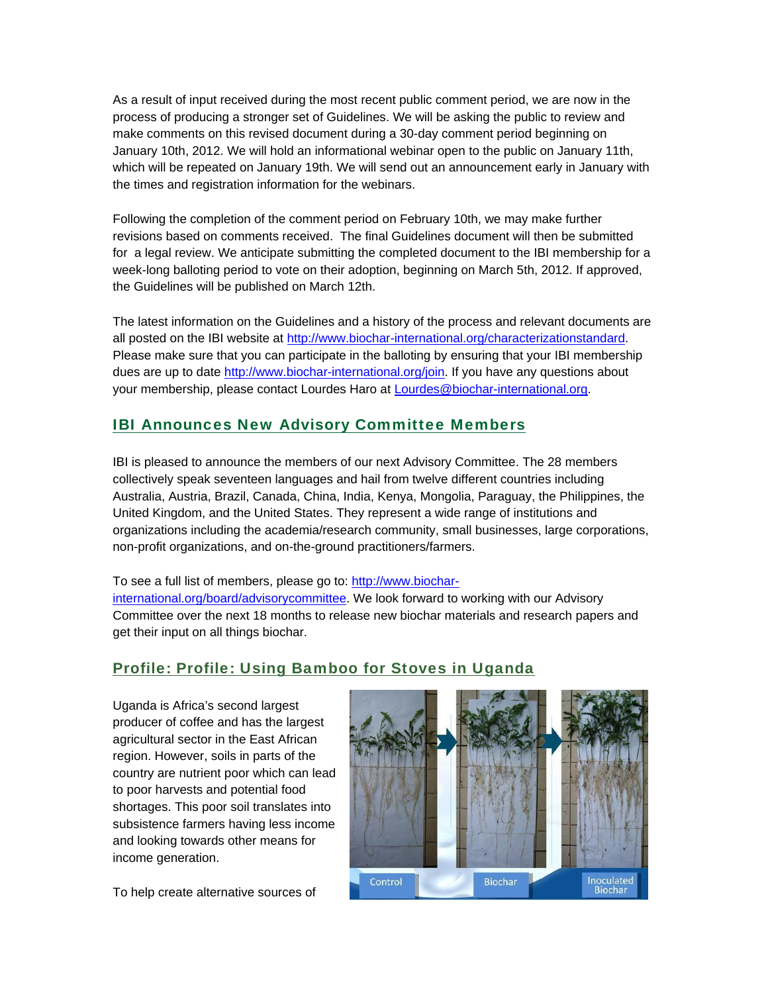As a result of input received during the most recent public comment period, we are now in the process of producing a stronger set of Guidelines. We will be asking the public to review and make comments on this revised document during a 30-day comment period beginning on January 10th, 2012. We will hold an informational webinar open to the public on January 11th, which will be repeated on January 19th. We will send out an announcement early in January with the times and registration information for the webinars.

Following the completion of the comment period on February 10th, we may make further revisions based on comments received. The final Guidelines document will then be submitted for a legal review. We anticipate submitting the completed document to the IBI membership for a week-long balloting period to vote on their adoption, beginning on March 5th, 2012. If approved, the Guidelines will be published on March 12th.

The latest information on the Guidelines and a history of the process and relevant documents are all posted on the IBI website at http://www.biochar-international.org/characterizationstandard. Please make sure that you can participate in the balloting by ensuring that your IBI membership dues are up to date http://www.biochar-international.org/join. If you have any questions about your membership, please contact Lourdes Haro at Lourdes@biochar-international.org.

## IBI Announces New Advisory Committee Members

IBI is pleased to announce the members of our next Advisory Committee. The 28 members collectively speak seventeen languages and hail from twelve different countries including Australia, Austria, Brazil, Canada, China, India, Kenya, Mongolia, Paraguay, the Philippines, the United Kingdom, and the United States. They represent a wide range of institutions and organizations including the academia/research community, small businesses, large corporations, non-profit organizations, and on-the-ground practitioners/farmers.

To see a full list of members, please go to: http://www.biocharinternational.org/board/advisorycommittee. We look forward to working with our Advisory Committee over the next 18 months to release new biochar materials and research papers and get their input on all things biochar.

## Profile: Profile: Using Bamboo for Stoves in Uganda

Uganda is Africa's second largest producer of coffee and has the largest agricultural sector in the East African region. However, soils in parts of the country are nutrient poor which can lead to poor harvests and potential food shortages. This poor soil translates into subsistence farmers having less income and looking towards other means for income generation.

**Biochar** Inoculated Control Biochar

To help create alternative sources of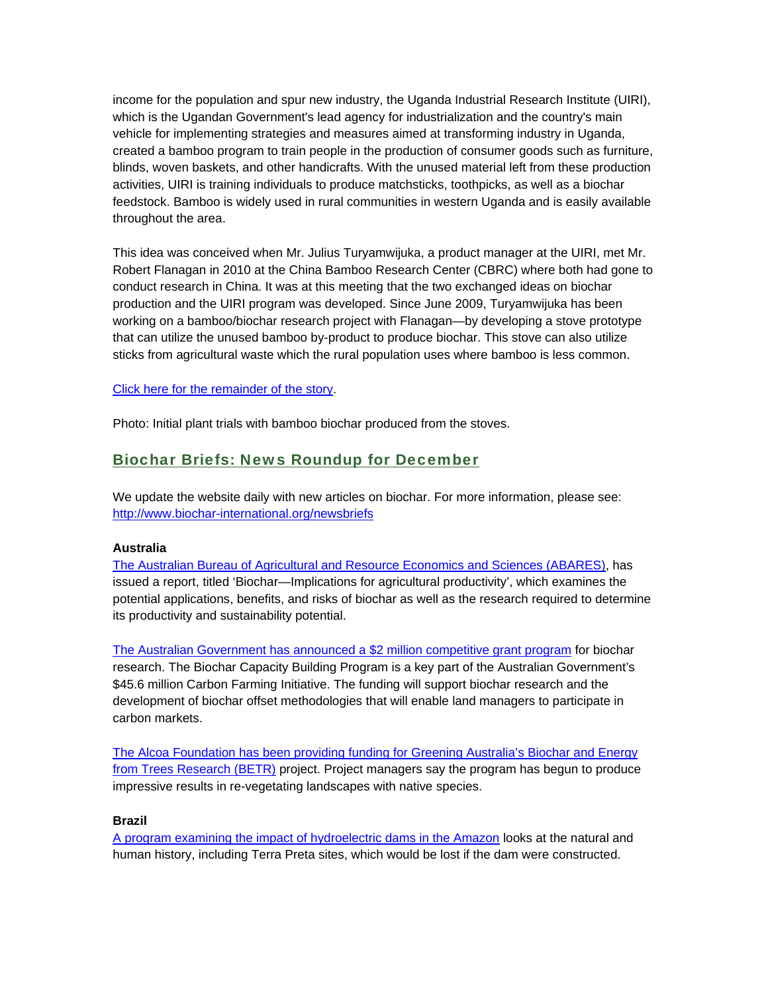income for the population and spur new industry, the Uganda Industrial Research Institute (UIRI), which is the Ugandan Government's lead agency for industrialization and the country's main vehicle for implementing strategies and measures aimed at transforming industry in Uganda, created a bamboo program to train people in the production of consumer goods such as furniture, blinds, woven baskets, and other handicrafts. With the unused material left from these production activities, UIRI is training individuals to produce matchsticks, toothpicks, as well as a biochar feedstock. Bamboo is widely used in rural communities in western Uganda and is easily available throughout the area.

This idea was conceived when Mr. Julius Turyamwijuka, a product manager at the UIRI, met Mr. Robert Flanagan in 2010 at the China Bamboo Research Center (CBRC) where both had gone to conduct research in China. It was at this meeting that the two exchanged ideas on biochar production and the UIRI program was developed. Since June 2009, Turyamwijuka has been working on a bamboo/biochar research project with Flanagan—by developing a stove prototype that can utilize the unused bamboo by-product to produce biochar. This stove can also utilize sticks from agricultural waste which the rural population uses where bamboo is less common.

#### Click here for the remainder of the story.

Photo: Initial plant trials with bamboo biochar produced from the stoves.

### Biochar Briefs: News Roundup for December

We update the website daily with new articles on biochar. For more information, please see: http://www.biochar-international.org/newsbriefs

#### **Australia**

The Australian Bureau of Agricultural and Resource Economics and Sciences (ABARES), has issued a report, titled 'Biochar—Implications for agricultural productivity', which examines the potential applications, benefits, and risks of biochar as well as the research required to determine its productivity and sustainability potential.

The Australian Government has announced a \$2 million competitive grant program for biochar research. The Biochar Capacity Building Program is a key part of the Australian Government's \$45.6 million Carbon Farming Initiative. The funding will support biochar research and the development of biochar offset methodologies that will enable land managers to participate in carbon markets.

The Alcoa Foundation has been providing funding for Greening Australia's Biochar and Energy from Trees Research (BETR) project. Project managers say the program has begun to produce impressive results in re-vegetating landscapes with native species.

#### **Brazil**

A program examining the impact of hydroelectric dams in the Amazon looks at the natural and human history, including Terra Preta sites, which would be lost if the dam were constructed.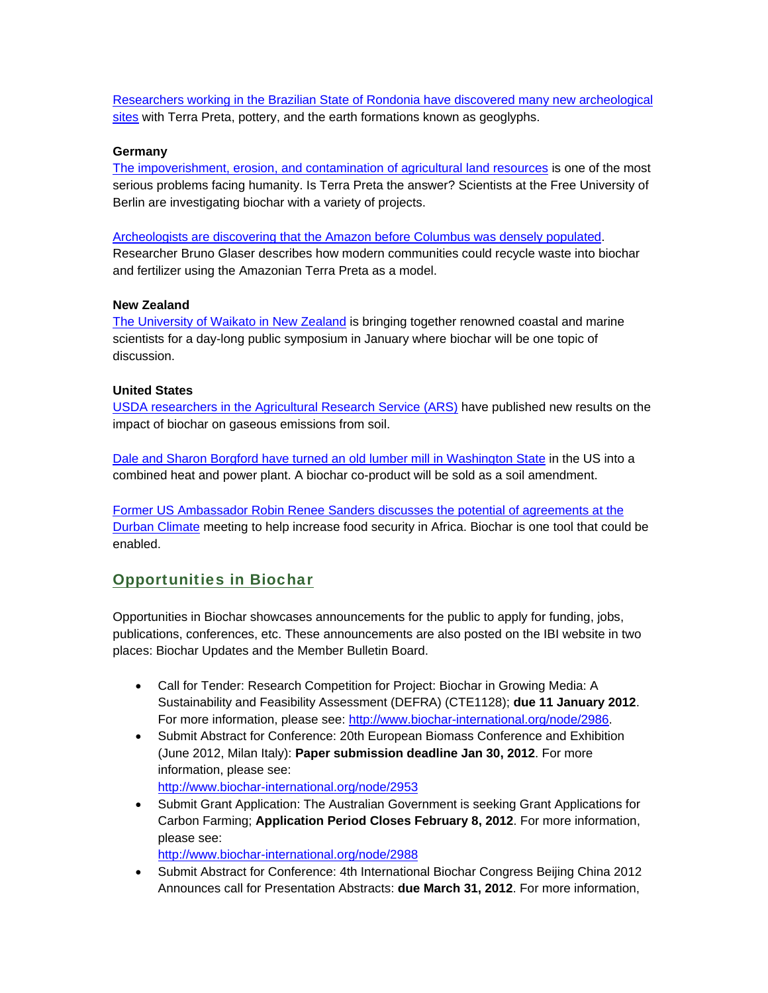Researchers working in the Brazilian State of Rondonia have discovered many new archeological sites with Terra Preta, pottery, and the earth formations known as geoglyphs.

#### **Germany**

The impoverishment, erosion, and contamination of agricultural land resources is one of the most serious problems facing humanity. Is Terra Preta the answer? Scientists at the Free University of Berlin are investigating biochar with a variety of projects.

Archeologists are discovering that the Amazon before Columbus was densely populated. Researcher Bruno Glaser describes how modern communities could recycle waste into biochar and fertilizer using the Amazonian Terra Preta as a model.

#### **New Zealand**

The University of Waikato in New Zealand is bringing together renowned coastal and marine scientists for a day-long public symposium in January where biochar will be one topic of discussion.

#### **United States**

USDA researchers in the Agricultural Research Service (ARS) have published new results on the impact of biochar on gaseous emissions from soil.

Dale and Sharon Borgford have turned an old lumber mill in Washington State in the US into a combined heat and power plant. A biochar co-product will be sold as a soil amendment.

Former US Ambassador Robin Renee Sanders discusses the potential of agreements at the Durban Climate meeting to help increase food security in Africa. Biochar is one tool that could be enabled.

#### Opportunities in Biochar

Opportunities in Biochar showcases announcements for the public to apply for funding, jobs, publications, conferences, etc. These announcements are also posted on the IBI website in two places: Biochar Updates and the Member Bulletin Board.

- Call for Tender: Research Competition for Project: Biochar in Growing Media: A Sustainability and Feasibility Assessment (DEFRA) (CTE1128); **due 11 January 2012**. For more information, please see: http://www.biochar-international.org/node/2986.
- Submit Abstract for Conference: 20th European Biomass Conference and Exhibition (June 2012, Milan Italy): **Paper submission deadline Jan 30, 2012**. For more information, please see:

http://www.biochar-international.org/node/2953

• Submit Grant Application: The Australian Government is seeking Grant Applications for Carbon Farming; **Application Period Closes February 8, 2012**. For more information, please see:

http://www.biochar-international.org/node/2988

 Submit Abstract for Conference: 4th International Biochar Congress Beijing China 2012 Announces call for Presentation Abstracts: **due March 31, 2012**. For more information,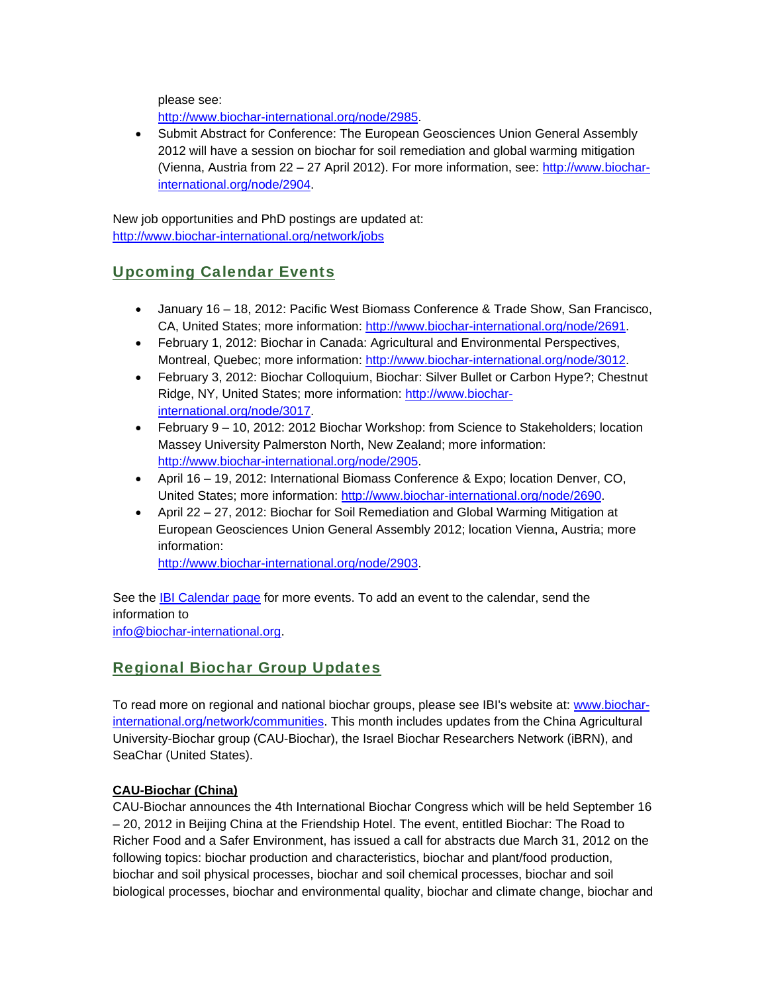please see:

http://www.biochar-international.org/node/2985.

 Submit Abstract for Conference: The European Geosciences Union General Assembly 2012 will have a session on biochar for soil remediation and global warming mitigation (Vienna, Austria from 22 – 27 April 2012). For more information, see: http://www.biocharinternational.org/node/2904.

New job opportunities and PhD postings are updated at: http://www.biochar-international.org/network/jobs

## Upcoming Calendar Events

- January 16 18, 2012: Pacific West Biomass Conference & Trade Show, San Francisco, CA, United States; more information: http://www.biochar-international.org/node/2691.
- February 1, 2012: Biochar in Canada: Agricultural and Environmental Perspectives, Montreal, Quebec; more information: http://www.biochar-international.org/node/3012.
- February 3, 2012: Biochar Colloquium, Biochar: Silver Bullet or Carbon Hype?; Chestnut Ridge, NY, United States; more information: http://www.biocharinternational.org/node/3017.
- February 9 10, 2012: 2012 Biochar Workshop: from Science to Stakeholders; location Massey University Palmerston North, New Zealand; more information: http://www.biochar-international.org/node/2905.
- April 16 19, 2012: International Biomass Conference & Expo; location Denver, CO, United States; more information: http://www.biochar-international.org/node/2690.
- April 22 27, 2012: Biochar for Soil Remediation and Global Warming Mitigation at European Geosciences Union General Assembly 2012; location Vienna, Austria; more information:

http://www.biochar-international.org/node/2903.

See the IBI Calendar page for more events. To add an event to the calendar, send the information to info@biochar-international.org.

## Regional Biochar Group Updates

To read more on regional and national biochar groups, please see IBI's website at: www.biocharinternational.org/network/communities. This month includes updates from the China Agricultural University-Biochar group (CAU-Biochar), the Israel Biochar Researchers Network (iBRN), and SeaChar (United States).

### **CAU-Biochar (China)**

CAU-Biochar announces the 4th International Biochar Congress which will be held September 16 – 20, 2012 in Beijing China at the Friendship Hotel. The event, entitled Biochar: The Road to Richer Food and a Safer Environment, has issued a call for abstracts due March 31, 2012 on the following topics: biochar production and characteristics, biochar and plant/food production, biochar and soil physical processes, biochar and soil chemical processes, biochar and soil biological processes, biochar and environmental quality, biochar and climate change, biochar and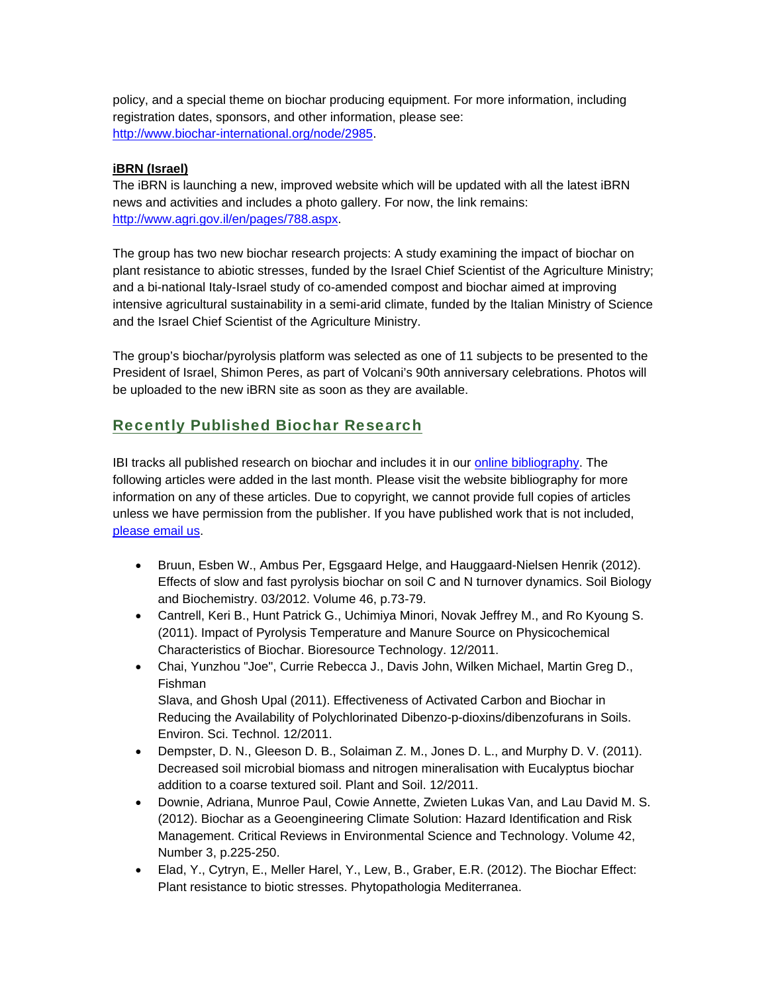policy, and a special theme on biochar producing equipment. For more information, including registration dates, sponsors, and other information, please see: http://www.biochar-international.org/node/2985.

#### **iBRN (Israel)**

The iBRN is launching a new, improved website which will be updated with all the latest iBRN news and activities and includes a photo gallery. For now, the link remains: http://www.agri.gov.il/en/pages/788.aspx.

The group has two new biochar research projects: A study examining the impact of biochar on plant resistance to abiotic stresses, funded by the Israel Chief Scientist of the Agriculture Ministry; and a bi-national Italy-Israel study of co-amended compost and biochar aimed at improving intensive agricultural sustainability in a semi-arid climate, funded by the Italian Ministry of Science and the Israel Chief Scientist of the Agriculture Ministry.

The group's biochar/pyrolysis platform was selected as one of 11 subjects to be presented to the President of Israel, Shimon Peres, as part of Volcani's 90th anniversary celebrations. Photos will be uploaded to the new iBRN site as soon as they are available.

## Recently Published Biochar Research

IBI tracks all published research on biochar and includes it in our online bibliography. The following articles were added in the last month. Please visit the website bibliography for more information on any of these articles. Due to copyright, we cannot provide full copies of articles unless we have permission from the publisher. If you have published work that is not included, please email us.

- Bruun, Esben W., Ambus Per, Egsgaard Helge, and Hauggaard-Nielsen Henrik (2012). Effects of slow and fast pyrolysis biochar on soil C and N turnover dynamics. Soil Biology and Biochemistry. 03/2012. Volume 46, p.73-79.
- Cantrell, Keri B., Hunt Patrick G., Uchimiya Minori, Novak Jeffrey M., and Ro Kyoung S. (2011). Impact of Pyrolysis Temperature and Manure Source on Physicochemical Characteristics of Biochar. Bioresource Technology. 12/2011.
- Chai, Yunzhou "Joe", Currie Rebecca J., Davis John, Wilken Michael, Martin Greg D., Fishman Slava, and Ghosh Upal (2011). Effectiveness of Activated Carbon and Biochar in Reducing the Availability of Polychlorinated Dibenzo-p-dioxins/dibenzofurans in Soils. Environ. Sci. Technol. 12/2011.
- Dempster, D. N., Gleeson D. B., Solaiman Z. M., Jones D. L., and Murphy D. V. (2011). Decreased soil microbial biomass and nitrogen mineralisation with Eucalyptus biochar addition to a coarse textured soil. Plant and Soil. 12/2011.
- Downie, Adriana, Munroe Paul, Cowie Annette, Zwieten Lukas Van, and Lau David M. S. (2012). Biochar as a Geoengineering Climate Solution: Hazard Identification and Risk Management. Critical Reviews in Environmental Science and Technology. Volume 42, Number 3, p.225-250.
- Elad, Y., Cytryn, E., Meller Harel, Y., Lew, B., Graber, E.R. (2012). The Biochar Effect: Plant resistance to biotic stresses. Phytopathologia Mediterranea.